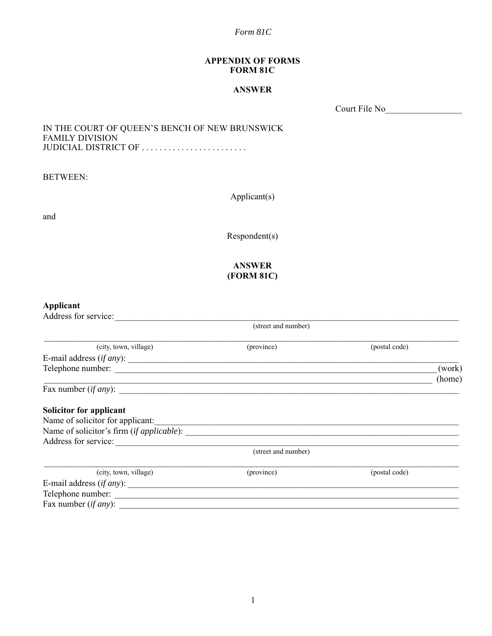#### **APPENDIX OF FORMS FORM 81C**

### **ANSWER**

Court File No\_\_\_\_\_\_\_\_\_\_\_\_\_\_\_\_\_

### IN THE COURT OF QUEEN'S BENCH OF NEW BRUNSWICK FAMILY DIVISION JUDICIAL DISTRICT OF . . . . . . . . . . . . . . . . . . . . . . . .

BETWEEN:

Applicant(s)

and

Respondent(s)

# **ANSWER (FORM 81C)**

# **Applicant**

| Address for service:             |                     |               |                  |  |
|----------------------------------|---------------------|---------------|------------------|--|
| (street and number)              |                     |               |                  |  |
| (city, town, village)            | (province)          | (postal code) |                  |  |
|                                  |                     |               |                  |  |
|                                  |                     |               | (work)<br>(home) |  |
| Fax number $(if any)$ :          |                     |               |                  |  |
| Solicitor for applicant          |                     |               |                  |  |
| Name of solicitor for applicant: |                     |               |                  |  |
|                                  |                     |               |                  |  |
| Address for service:             |                     |               |                  |  |
|                                  | (street and number) |               |                  |  |
| (city, town, village)            | (province)          | (postal code) |                  |  |
|                                  |                     |               |                  |  |
|                                  |                     |               |                  |  |
| Fax number $(if any)$ :          |                     |               |                  |  |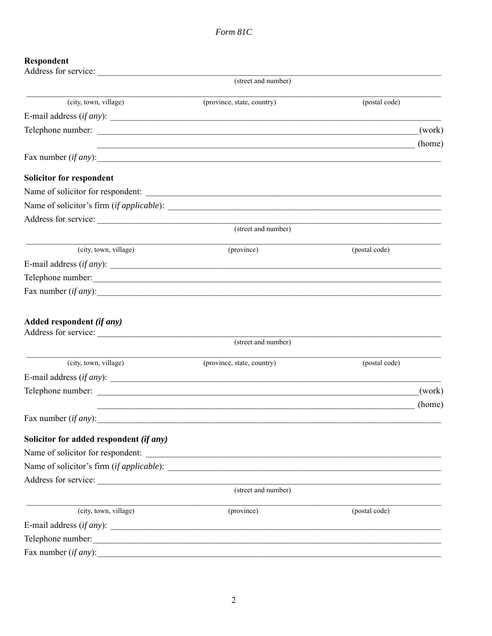# Respondent

| Address for service:                              |                                           |               |        |
|---------------------------------------------------|-------------------------------------------|---------------|--------|
|                                                   | (street and number)                       |               |        |
| (city, town, village)                             | (province, state, country)                | (postal code) |        |
| E-mail address $(if any)$ :                       |                                           |               |        |
|                                                   |                                           |               | (work) |
|                                                   |                                           |               | (home) |
| Fax number $(if any)$ :                           |                                           |               |        |
| <b>Solicitor for respondent</b>                   |                                           |               |        |
| Name of solicitor for respondent:                 |                                           |               |        |
|                                                   |                                           |               |        |
|                                                   |                                           |               |        |
|                                                   | (street and number)                       |               |        |
| (city, town, village)                             | (province)                                | (postal code) |        |
| E-mail address $(if any)$ :                       |                                           |               |        |
| Telephone number:                                 |                                           |               |        |
| Fax number $(if any)$ :                           |                                           |               |        |
| Added respondent (if any)<br>Address for service: | (street and number)                       |               |        |
| (city, town, village)                             | (province, state, country)                | (postal code) |        |
| E-mail address $(if any)$ :                       |                                           |               |        |
|                                                   |                                           |               | (work) |
|                                                   | <u> 1989 - Jan James Samuel (f. 1989)</u> |               | (home) |
| Fax number $(if any)$ :                           |                                           |               |        |
| Solicitor for added respondent (if any)           |                                           |               |        |
| Name of solicitor for respondent:                 |                                           |               |        |
|                                                   |                                           |               |        |
|                                                   |                                           |               |        |
|                                                   | (street and number)                       |               |        |
| (city, town, village)                             | (province)                                | (postal code) |        |
|                                                   |                                           |               |        |
| Telephone number:                                 |                                           |               |        |
| Fax number $(if any)$ :                           |                                           |               |        |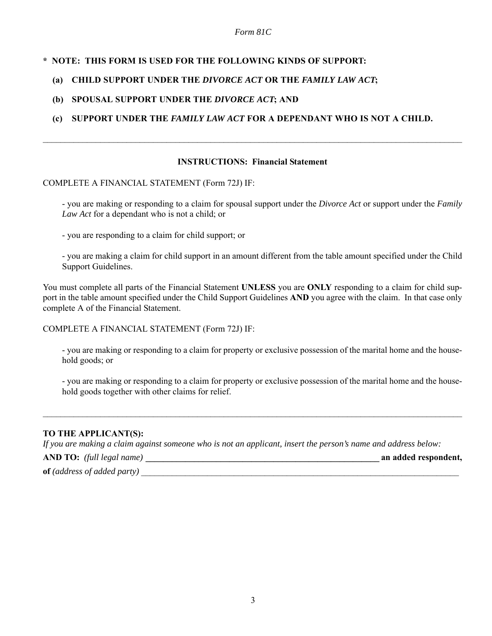# **\* NOTE: THIS FORM IS USED FOR THE FOLLOWING KINDS OF SUPPORT:**

# **(a) CHILD SUPPORT UNDER THE** *DIVORCE ACT* **OR THE** *FAMILY LAW ACT***;**

# **(b) SPOUSAL SUPPORT UNDER THE** *DIVORCE ACT***; AND**

# **(c) SUPPORT UNDER THE** *FAMILY LAW ACT* **FOR A DEPENDANT WHO IS NOT A CHILD.**

### **INSTRUCTIONS: Financial Statement**

 $\mathcal{L}_\mathcal{L} = \mathcal{L}_\mathcal{L} = \mathcal{L}_\mathcal{L} = \mathcal{L}_\mathcal{L} = \mathcal{L}_\mathcal{L} = \mathcal{L}_\mathcal{L} = \mathcal{L}_\mathcal{L} = \mathcal{L}_\mathcal{L} = \mathcal{L}_\mathcal{L} = \mathcal{L}_\mathcal{L} = \mathcal{L}_\mathcal{L} = \mathcal{L}_\mathcal{L} = \mathcal{L}_\mathcal{L} = \mathcal{L}_\mathcal{L} = \mathcal{L}_\mathcal{L} = \mathcal{L}_\mathcal{L} = \mathcal{L}_\mathcal{L}$ 

#### COMPLETE A FINANCIAL STATEMENT (Form 72J) IF:

- you are making or responding to a claim for spousal support under the *Divorce Act* or support under the *Family Law Act* for a dependant who is not a child; or

- you are responding to a claim for child support; or

- you are making a claim for child support in an amount different from the table amount specified under the Child Support Guidelines.

You must complete all parts of the Financial Statement **UNLESS** you are **ONLY** responding to a claim for child support in the table amount specified under the Child Support Guidelines **AND** you agree with the claim. In that case only complete A of the Financial Statement.

COMPLETE A FINANCIAL STATEMENT (Form 72J) IF:

- you are making or responding to a claim for property or exclusive possession of the marital home and the household goods; or

- you are making or responding to a claim for property or exclusive possession of the marital home and the household goods together with other claims for relief.

### **TO THE APPLICANT(S):**

*If you are making a claim against someone who is not an applicant, insert the person's name and address below:*

 $\mathcal{L}_\mathcal{L} = \mathcal{L}_\mathcal{L} = \mathcal{L}_\mathcal{L} = \mathcal{L}_\mathcal{L} = \mathcal{L}_\mathcal{L} = \mathcal{L}_\mathcal{L} = \mathcal{L}_\mathcal{L} = \mathcal{L}_\mathcal{L} = \mathcal{L}_\mathcal{L} = \mathcal{L}_\mathcal{L} = \mathcal{L}_\mathcal{L} = \mathcal{L}_\mathcal{L} = \mathcal{L}_\mathcal{L} = \mathcal{L}_\mathcal{L} = \mathcal{L}_\mathcal{L} = \mathcal{L}_\mathcal{L} = \mathcal{L}_\mathcal{L}$ 

**AND TO:** *(full legal name)* **\_\_\_\_\_\_\_\_\_\_\_\_\_\_\_\_\_\_\_\_\_\_\_\_\_\_\_\_\_\_\_\_\_\_\_\_\_\_\_\_\_\_\_\_\_\_\_\_\_\_\_\_\_ an added respondent,**

**of** (address of added party)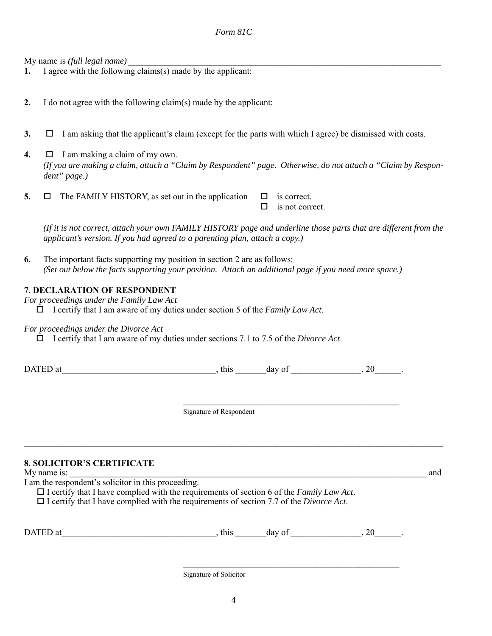My name is *(full legal name)* 

**1.** I agree with the following claims(s) made by the applicant:

**2.** I do not agree with the following claim(s) made by the applicant:

**3.**  $\Box$  I am asking that the applicant's claim (except for the parts with which I agree) be dismissed with costs.

**4.**  $\Box$  I am making a claim of my own. *(If you are making a claim, attach a "Claim by Respondent" page. Otherwise, do not attach a "Claim by Respondent" page.)*

**5.**  $\Box$  The FAMILY HISTORY, as set out in the application  $\Box$  is correct.  $\Box$  is not correct.

*(If it is not correct, attach your own FAMILY HISTORY page and underline those parts that are different from the applicant's version. If you had agreed to a parenting plan, attach a copy.)*

**6.** The important facts supporting my position in section 2 are as follows: *(Set out below the facts supporting your position. Attach an additional page if you need more space.)*

#### **7. DECLARATION OF RESPONDENT**

*For proceedings under the Family Law Act*

I certify that I am aware of my duties under section 5 of the *Family Law Act*.

*For proceedings under the Divorce Act*

I certify that I am aware of my duties under sections 7.1 to 7.5 of the *Divorce Act*.

| <b>DATED</b><br>' at | this | dav | O1 | ົ<br>$\sim$ |  |
|----------------------|------|-----|----|-------------|--|
|                      |      |     |    |             |  |

Signature of Respondent

 $\mathcal{L}_\mathcal{L} = \mathcal{L}_\mathcal{L} = \mathcal{L}_\mathcal{L} = \mathcal{L}_\mathcal{L} = \mathcal{L}_\mathcal{L} = \mathcal{L}_\mathcal{L} = \mathcal{L}_\mathcal{L} = \mathcal{L}_\mathcal{L} = \mathcal{L}_\mathcal{L} = \mathcal{L}_\mathcal{L} = \mathcal{L}_\mathcal{L} = \mathcal{L}_\mathcal{L} = \mathcal{L}_\mathcal{L} = \mathcal{L}_\mathcal{L} = \mathcal{L}_\mathcal{L} = \mathcal{L}_\mathcal{L} = \mathcal{L}_\mathcal{L}$ 

 $\mathcal{L}_\text{max}$  and the contract of the contract of the contract of the contract of the contract of the contract of the contract of the contract of the contract of the contract of the contract of the contract of the contrac

 $\mathcal{L}_\text{max}$  and the contract of the contract of the contract of the contract of the contract of the contract of the contract of the contract of the contract of the contract of the contract of the contract of the contrac

# **8. SOLICITOR'S CERTIFICATE**

My name is: and

I am the respondent's solicitor in this proceeding.

I certify that I have complied with the requirements of section 6 of the *Family Law Act*.

I certify that I have complied with the requirements of section 7.7 of the *Divorce Act*.

| D<br>D |  |  |  |  |  |  |
|--------|--|--|--|--|--|--|
|--------|--|--|--|--|--|--|

Signature of Solicitor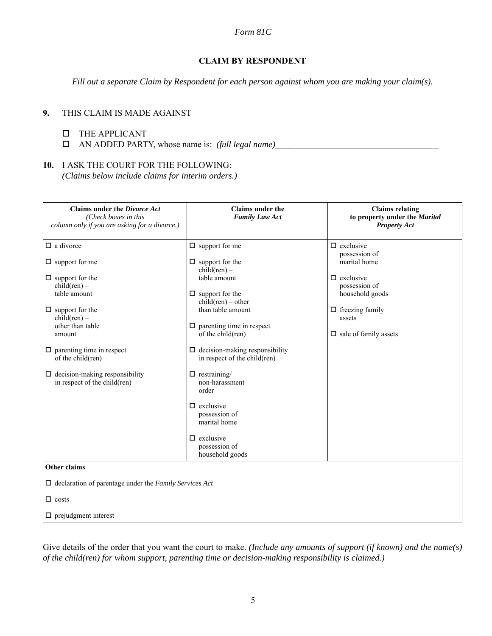### **CLAIM BY RESPONDENT**

*Fill out a separate Claim by Respondent for each person against whom you are making your claim(s).*

# **9.** THIS CLAIM IS MADE AGAINST

### THE APPLICANT

AN ADDED PARTY, whose name is: *(full legal name)*\_\_\_\_\_\_\_\_\_\_\_\_\_\_\_\_\_\_\_\_\_\_\_\_\_\_\_\_\_\_\_\_\_\_\_\_\_

# **10.** I ASK THE COURT FOR THE FOLLOWING:

*(Claims below include claims for interim orders.)*

| <b>Claims under the Divorce Act</b><br>(Check boxes in this<br>column only if you are asking for a divorce.)                                                                                                                                                                                                      | Claims under the<br><b>Family Law Act</b>                                                                                                                                                                                                                                                                                                                                                                                                                 | <b>Claims relating</b><br>to property under the Marital<br><b>Property Act</b>                                                                                                |
|-------------------------------------------------------------------------------------------------------------------------------------------------------------------------------------------------------------------------------------------------------------------------------------------------------------------|-----------------------------------------------------------------------------------------------------------------------------------------------------------------------------------------------------------------------------------------------------------------------------------------------------------------------------------------------------------------------------------------------------------------------------------------------------------|-------------------------------------------------------------------------------------------------------------------------------------------------------------------------------|
| $\Box$ a divorce<br>$\Box$ support for me<br>$\Box$ support for the<br>$child(ren)$ –<br>table amount<br>$\Box$ support for the<br>$child(ren)$ –<br>other than table<br>amount<br>$\Box$ parenting time in respect<br>of the child(ren)<br>$\Box$ decision-making responsibility<br>in respect of the child(ren) | $\Box$ support for me<br>$\Box$ support for the<br>$child(ren)$ –<br>table amount<br>$\Box$ support for the<br>$child(ren) - other$<br>than table amount<br>$\Box$ parenting time in respect<br>of the child(ren)<br>$\Box$ decision-making responsibility<br>in respect of the child(ren)<br>$\Box$ restraining/<br>non-harassment<br>order<br>$\Box$ exclusive<br>possession of<br>marital home<br>$\Box$ exclusive<br>possession of<br>household goods | $\Box$ exclusive<br>possession of<br>marital home<br>$\Box$ exclusive<br>possession of<br>household goods<br>$\Box$ freezing family<br>assets<br>$\Box$ sale of family assets |
| Other claims<br>$\Box$ declaration of parentage under the Family Services Act<br>$\Box$ costs<br>$\Box$ prejudgment interest                                                                                                                                                                                      |                                                                                                                                                                                                                                                                                                                                                                                                                                                           |                                                                                                                                                                               |

Give details of the order that you want the court to make. *(Include any amounts of support (if known) and the name(s) of the child(ren) for whom support, parenting time or decision-making responsibility is claimed.)*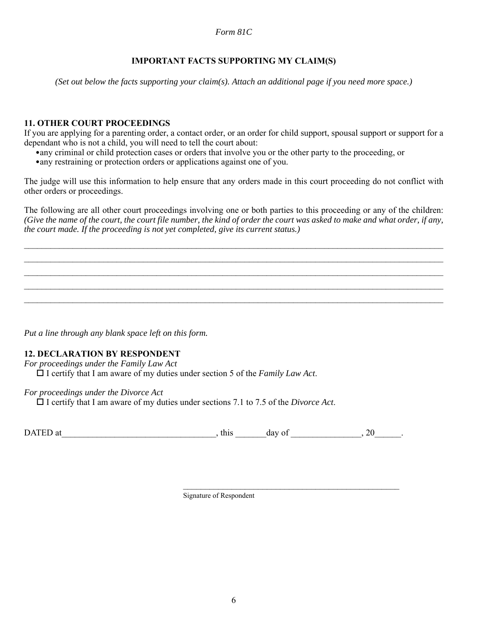# **IMPORTANT FACTS SUPPORTING MY CLAIM(S)**

*(Set out below the facts supporting your claim(s). Attach an additional page if you need more space.)*

### **11. OTHER COURT PROCEEDINGS**

If you are applying for a parenting order, a contact order, or an order for child support, spousal support or support for a dependant who is not a child, you will need to tell the court about:

•any criminal or child protection cases or orders that involve you or the other party to the proceeding, or

•any restraining or protection orders or applications against one of you.

The judge will use this information to help ensure that any orders made in this court proceeding do not conflict with other orders or proceedings.

The following are all other court proceedings involving one or both parties to this proceeding or any of the children: *(Give the name of the court, the court file number, the kind of order the court was asked to make and what order, if any, the court made. If the proceeding is not yet completed, give its current status.)*

 $\mathcal{L}_\mathcal{L} = \mathcal{L}_\mathcal{L} = \mathcal{L}_\mathcal{L} = \mathcal{L}_\mathcal{L} = \mathcal{L}_\mathcal{L} = \mathcal{L}_\mathcal{L} = \mathcal{L}_\mathcal{L} = \mathcal{L}_\mathcal{L} = \mathcal{L}_\mathcal{L} = \mathcal{L}_\mathcal{L} = \mathcal{L}_\mathcal{L} = \mathcal{L}_\mathcal{L} = \mathcal{L}_\mathcal{L} = \mathcal{L}_\mathcal{L} = \mathcal{L}_\mathcal{L} = \mathcal{L}_\mathcal{L} = \mathcal{L}_\mathcal{L}$  $\mathcal{L}_\mathcal{L} = \mathcal{L}_\mathcal{L} = \mathcal{L}_\mathcal{L} = \mathcal{L}_\mathcal{L} = \mathcal{L}_\mathcal{L} = \mathcal{L}_\mathcal{L} = \mathcal{L}_\mathcal{L} = \mathcal{L}_\mathcal{L} = \mathcal{L}_\mathcal{L} = \mathcal{L}_\mathcal{L} = \mathcal{L}_\mathcal{L} = \mathcal{L}_\mathcal{L} = \mathcal{L}_\mathcal{L} = \mathcal{L}_\mathcal{L} = \mathcal{L}_\mathcal{L} = \mathcal{L}_\mathcal{L} = \mathcal{L}_\mathcal{L}$  $\mathcal{L}_\mathcal{L} = \mathcal{L}_\mathcal{L} = \mathcal{L}_\mathcal{L} = \mathcal{L}_\mathcal{L} = \mathcal{L}_\mathcal{L} = \mathcal{L}_\mathcal{L} = \mathcal{L}_\mathcal{L} = \mathcal{L}_\mathcal{L} = \mathcal{L}_\mathcal{L} = \mathcal{L}_\mathcal{L} = \mathcal{L}_\mathcal{L} = \mathcal{L}_\mathcal{L} = \mathcal{L}_\mathcal{L} = \mathcal{L}_\mathcal{L} = \mathcal{L}_\mathcal{L} = \mathcal{L}_\mathcal{L} = \mathcal{L}_\mathcal{L}$  $\mathcal{L}_\mathcal{L} = \mathcal{L}_\mathcal{L} = \mathcal{L}_\mathcal{L} = \mathcal{L}_\mathcal{L} = \mathcal{L}_\mathcal{L} = \mathcal{L}_\mathcal{L} = \mathcal{L}_\mathcal{L} = \mathcal{L}_\mathcal{L} = \mathcal{L}_\mathcal{L} = \mathcal{L}_\mathcal{L} = \mathcal{L}_\mathcal{L} = \mathcal{L}_\mathcal{L} = \mathcal{L}_\mathcal{L} = \mathcal{L}_\mathcal{L} = \mathcal{L}_\mathcal{L} = \mathcal{L}_\mathcal{L} = \mathcal{L}_\mathcal{L}$  $\mathcal{L}_\mathcal{L} = \mathcal{L}_\mathcal{L} = \mathcal{L}_\mathcal{L} = \mathcal{L}_\mathcal{L} = \mathcal{L}_\mathcal{L} = \mathcal{L}_\mathcal{L} = \mathcal{L}_\mathcal{L} = \mathcal{L}_\mathcal{L} = \mathcal{L}_\mathcal{L} = \mathcal{L}_\mathcal{L} = \mathcal{L}_\mathcal{L} = \mathcal{L}_\mathcal{L} = \mathcal{L}_\mathcal{L} = \mathcal{L}_\mathcal{L} = \mathcal{L}_\mathcal{L} = \mathcal{L}_\mathcal{L} = \mathcal{L}_\mathcal{L}$ 

*Put a line through any blank space left on this form.*

### **12. DECLARATION BY RESPONDENT**

*For proceedings under the Family Law Act*

 $\Box$  I certify that I am aware of my duties under section 5 of the *Family Law Act*.

#### *For proceedings under the Divorce Act*

 $\Box$  I certify that I am aware of my duties under sections 7.1 to 7.5 of the *Divorce Act*.

DATED at  $\qquad \qquad$  this  $\qquad \qquad$  day of  $\qquad \qquad$ , 20  $\qquad$ .

Signature of Respondent

 $\mathcal{L}_\text{max}$  and the contract of the contract of the contract of the contract of the contract of the contract of the contract of the contract of the contract of the contract of the contract of the contract of the contrac